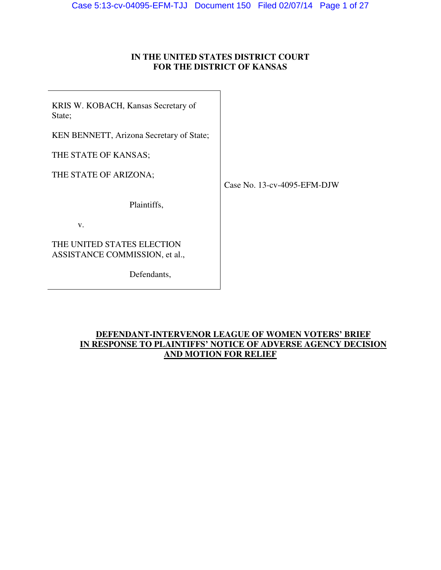## **IN THE UNITED STATES DISTRICT COURT FOR THE DISTRICT OF KANSAS**

KRIS W. KOBACH, Kansas Secretary of State;

KEN BENNETT, Arizona Secretary of State;

THE STATE OF KANSAS;

THE STATE OF ARIZONA;

Case No. 13-cv-4095-EFM-DJW

Plaintiffs,

v.

THE UNITED STATES ELECTION ASSISTANCE COMMISSION, et al.,

Defendants,

## **DEFENDANT-INTERVENOR LEAGUE OF WOMEN VOTERS' BRIEF IN RESPONSE TO PLAINTIFFS' NOTICE OF ADVERSE AGENCY DECISION AND MOTION FOR RELIEF**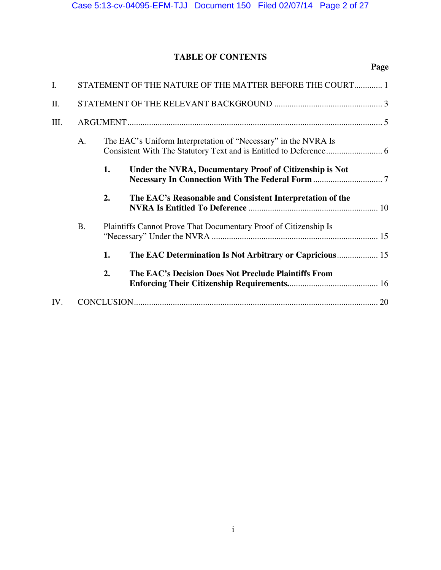# **TABLE OF CONTENTS**

| $\mathbf{I}$ . | STATEMENT OF THE NATURE OF THE MATTER BEFORE THE COURT 1 |    |                                                                  |  |  |  |
|----------------|----------------------------------------------------------|----|------------------------------------------------------------------|--|--|--|
| II.            |                                                          |    |                                                                  |  |  |  |
| III.           |                                                          |    |                                                                  |  |  |  |
|                | A.                                                       |    | The EAC's Uniform Interpretation of "Necessary" in the NVRA Is   |  |  |  |
|                |                                                          | 1. | Under the NVRA, Documentary Proof of Citizenship is Not          |  |  |  |
|                |                                                          | 2. | The EAC's Reasonable and Consistent Interpretation of the        |  |  |  |
|                | <b>B.</b>                                                |    | Plaintiffs Cannot Prove That Documentary Proof of Citizenship Is |  |  |  |
|                |                                                          | 1. | The EAC Determination Is Not Arbitrary or Capricious 15          |  |  |  |
|                |                                                          | 2. | The EAC's Decision Does Not Preclude Plaintiffs From             |  |  |  |
| IV.            |                                                          |    |                                                                  |  |  |  |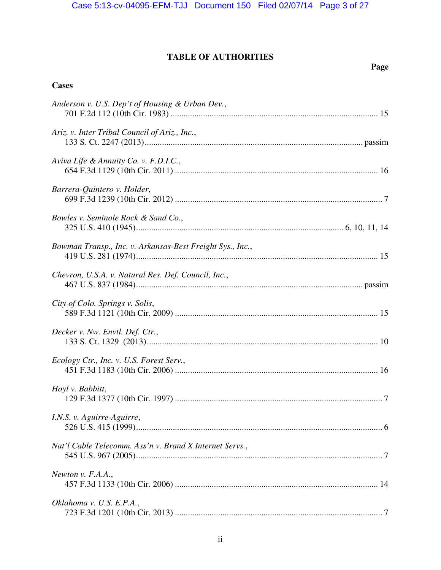# **TABLE OF AUTHORITIES**

# **Page**

# **Cases**

| Anderson v. U.S. Dep't of Housing & Urban Dev.,           |  |
|-----------------------------------------------------------|--|
| Ariz. v. Inter Tribal Council of Ariz., Inc.,             |  |
| Aviva Life & Annuity Co. v. F.D.I.C.,                     |  |
| Barrera-Quintero v. Holder,                               |  |
| Bowles v. Seminole Rock & Sand Co.,                       |  |
| Bowman Transp., Inc. v. Arkansas-Best Freight Sys., Inc., |  |
| Chevron, U.S.A. v. Natural Res. Def. Council, Inc.,       |  |
| City of Colo. Springs v. Solis,                           |  |
| Decker v. Nw. Envtl. Def. Ctr.,                           |  |
| Ecology Ctr., Inc. v. U.S. Forest Serv.,                  |  |
| Hoyl v. Babbitt,                                          |  |
| I.N.S. v. Aguirre-Aguirre,                                |  |
| Nat'l Cable Telecomm. Ass'n v. Brand X Internet Servs.,   |  |
| Newton v. F.A.A.,                                         |  |
| Oklahoma v. U.S. E.P.A.,                                  |  |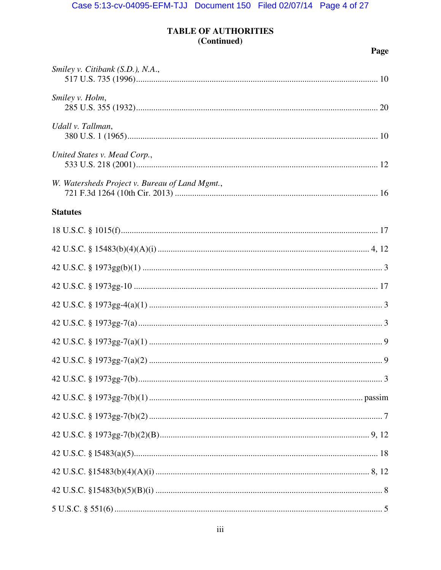# **TABLE OF AUTHORITIES** (Continued)

| Smiley v. Citibank $(S.D.)$ , N.A.,            |  |
|------------------------------------------------|--|
| Smiley v. Holm,                                |  |
| Udall v. Tallman,                              |  |
| United States v. Mead Corp.,                   |  |
| W. Watersheds Project v. Bureau of Land Mgmt., |  |
| <b>Statutes</b>                                |  |
|                                                |  |
|                                                |  |
|                                                |  |
|                                                |  |
|                                                |  |
|                                                |  |
|                                                |  |
|                                                |  |
|                                                |  |
|                                                |  |
|                                                |  |
|                                                |  |
|                                                |  |
|                                                |  |
|                                                |  |
|                                                |  |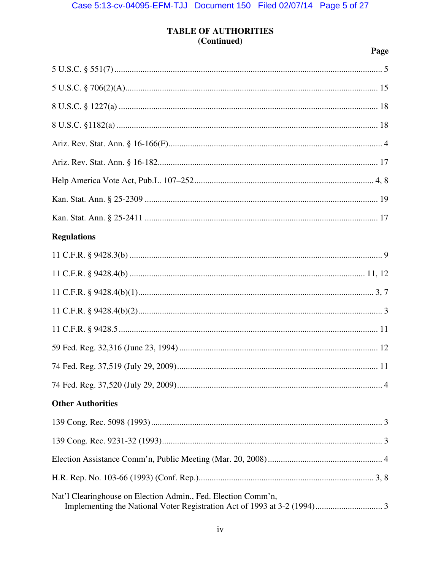# **TABLE OF AUTHORITIES** (Continued)

| <b>Regulations</b>                                            |  |
|---------------------------------------------------------------|--|
|                                                               |  |
|                                                               |  |
|                                                               |  |
|                                                               |  |
|                                                               |  |
|                                                               |  |
|                                                               |  |
|                                                               |  |
| <b>Other Authorities</b>                                      |  |
|                                                               |  |
|                                                               |  |
|                                                               |  |
|                                                               |  |
| Nat'l Clearinghouse on Election Admin., Fed. Election Comm'n, |  |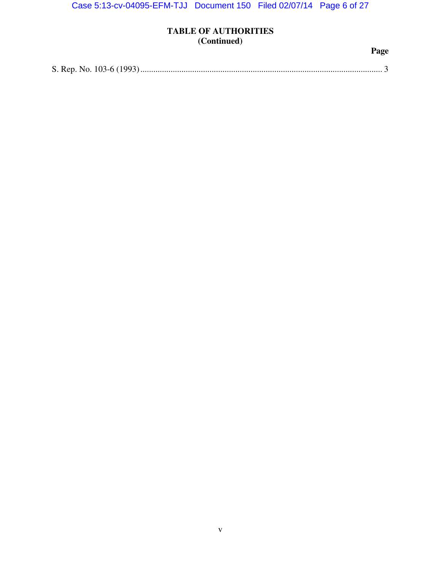# **TABLE OF AUTHORITIES (Continued)**

|--|--|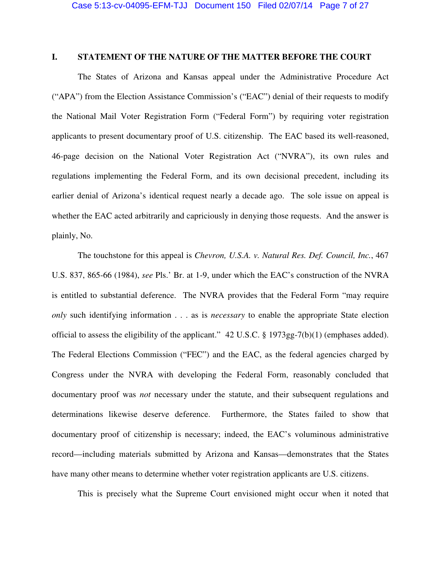### **I. STATEMENT OF THE NATURE OF THE MATTER BEFORE THE COURT**

The States of Arizona and Kansas appeal under the Administrative Procedure Act ("APA") from the Election Assistance Commission's ("EAC") denial of their requests to modify the National Mail Voter Registration Form ("Federal Form") by requiring voter registration applicants to present documentary proof of U.S. citizenship. The EAC based its well-reasoned, 46-page decision on the National Voter Registration Act ("NVRA"), its own rules and regulations implementing the Federal Form, and its own decisional precedent, including its earlier denial of Arizona's identical request nearly a decade ago. The sole issue on appeal is whether the EAC acted arbitrarily and capriciously in denying those requests. And the answer is plainly, No.

The touchstone for this appeal is *Chevron, U.S.A. v. Natural Res. Def. Council, Inc.*, 467 U.S. 837, 865-66 (1984), *see* Pls.' Br. at 1-9, under which the EAC's construction of the NVRA is entitled to substantial deference. The NVRA provides that the Federal Form "may require *only* such identifying information . . . as is *necessary* to enable the appropriate State election official to assess the eligibility of the applicant." 42 U.S.C. § 1973gg-7(b)(1) (emphases added). The Federal Elections Commission ("FEC") and the EAC, as the federal agencies charged by Congress under the NVRA with developing the Federal Form, reasonably concluded that documentary proof was *not* necessary under the statute, and their subsequent regulations and determinations likewise deserve deference. Furthermore, the States failed to show that documentary proof of citizenship is necessary; indeed, the EAC's voluminous administrative record—including materials submitted by Arizona and Kansas—demonstrates that the States have many other means to determine whether voter registration applicants are U.S. citizens.

This is precisely what the Supreme Court envisioned might occur when it noted that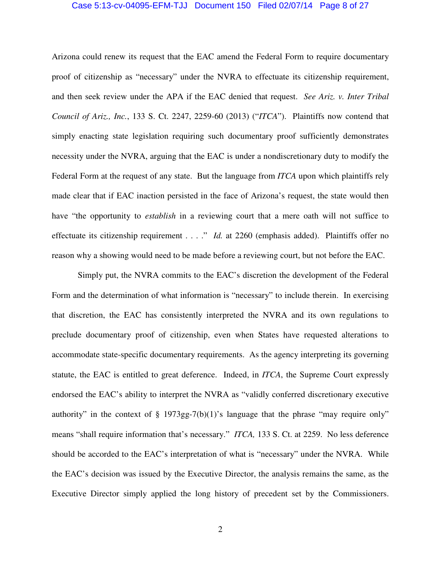#### Case 5:13-cv-04095-EFM-TJJ Document 150 Filed 02/07/14 Page 8 of 27

Arizona could renew its request that the EAC amend the Federal Form to require documentary proof of citizenship as "necessary" under the NVRA to effectuate its citizenship requirement, and then seek review under the APA if the EAC denied that request. *See Ariz. v. Inter Tribal Council of Ariz., Inc.*, 133 S. Ct. 2247, 2259-60 (2013) ("*ITCA*"). Plaintiffs now contend that simply enacting state legislation requiring such documentary proof sufficiently demonstrates necessity under the NVRA, arguing that the EAC is under a nondiscretionary duty to modify the Federal Form at the request of any state. But the language from *ITCA* upon which plaintiffs rely made clear that if EAC inaction persisted in the face of Arizona's request, the state would then have "the opportunity to *establish* in a reviewing court that a mere oath will not suffice to effectuate its citizenship requirement . . . ." *Id.* at 2260 (emphasis added). Plaintiffs offer no reason why a showing would need to be made before a reviewing court, but not before the EAC.

Simply put, the NVRA commits to the EAC's discretion the development of the Federal Form and the determination of what information is "necessary" to include therein. In exercising that discretion, the EAC has consistently interpreted the NVRA and its own regulations to preclude documentary proof of citizenship, even when States have requested alterations to accommodate state-specific documentary requirements. As the agency interpreting its governing statute, the EAC is entitled to great deference. Indeed, in *ITCA*, the Supreme Court expressly endorsed the EAC's ability to interpret the NVRA as "validly conferred discretionary executive authority" in the context of  $\S$  1973gg-7(b)(1)'s language that the phrase "may require only" means "shall require information that's necessary." *ITCA,* 133 S. Ct. at 2259. No less deference should be accorded to the EAC's interpretation of what is "necessary" under the NVRA. While the EAC's decision was issued by the Executive Director, the analysis remains the same, as the Executive Director simply applied the long history of precedent set by the Commissioners.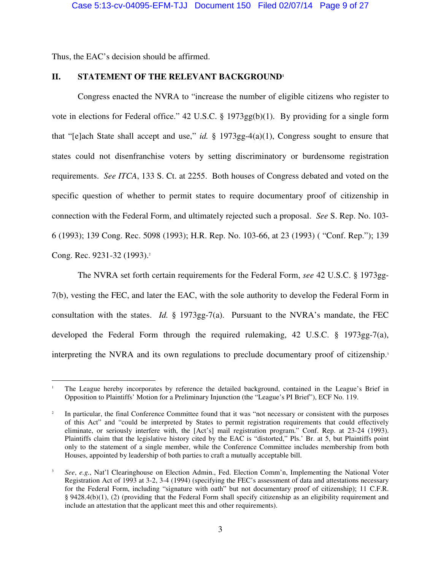Thus, the EAC's decision should be affirmed.

 $\overline{a}$ 

### **II. STATEMENT OF THE RELEVANT BACKGROUND<sup>1</sup>**

Congress enacted the NVRA to "increase the number of eligible citizens who register to vote in elections for Federal office." 42 U.S.C. § 1973gg(b)(1). By providing for a single form that "[e]ach State shall accept and use," *id.* § 1973gg-4(a)(1), Congress sought to ensure that states could not disenfranchise voters by setting discriminatory or burdensome registration requirements. *See ITCA*, 133 S. Ct. at 2255. Both houses of Congress debated and voted on the specific question of whether to permit states to require documentary proof of citizenship in connection with the Federal Form, and ultimately rejected such a proposal. *See* S. Rep. No. 103- 6 (1993); 139 Cong. Rec. 5098 (1993); H.R. Rep. No. 103-66, at 23 (1993) ( "Conf. Rep."); 139 Cong. Rec. 9231-32 (1993).<sup>2</sup>

The NVRA set forth certain requirements for the Federal Form, *see* 42 U.S.C. § 1973gg-7(b), vesting the FEC, and later the EAC, with the sole authority to develop the Federal Form in consultation with the states. *Id.* § 1973gg-7(a). Pursuant to the NVRA's mandate, the FEC developed the Federal Form through the required rulemaking, 42 U.S.C. § 1973gg-7(a), interpreting the NVRA and its own regulations to preclude documentary proof of citizenship.<sup>3</sup>

<sup>1</sup> The League hereby incorporates by reference the detailed background, contained in the League's Brief in Opposition to Plaintiffs' Motion for a Preliminary Injunction (the "League's PI Brief"), ECF No. 119.

<sup>2</sup> In particular, the final Conference Committee found that it was "not necessary or consistent with the purposes of this Act" and "could be interpreted by States to permit registration requirements that could effectively eliminate, or seriously interfere with, the [Act's] mail registration program." Conf. Rep. at 23-24 (1993). Plaintiffs claim that the legislative history cited by the EAC is "distorted," Pls.' Br. at 5, but Plaintiffs point only to the statement of a single member, while the Conference Committee includes membership from both Houses, appointed by leadership of both parties to craft a mutually acceptable bill.

<sup>3</sup> *See*, *e.g.*, Nat'l Clearinghouse on Election Admin., Fed. Election Comm'n, Implementing the National Voter Registration Act of 1993 at 3-2, 3-4 (1994) (specifying the FEC's assessment of data and attestations necessary for the Federal Form, including "signature with oath" but not documentary proof of citizenship); 11 C.F.R. § 9428.4(b)(1), (2) (providing that the Federal Form shall specify citizenship as an eligibility requirement and include an attestation that the applicant meet this and other requirements).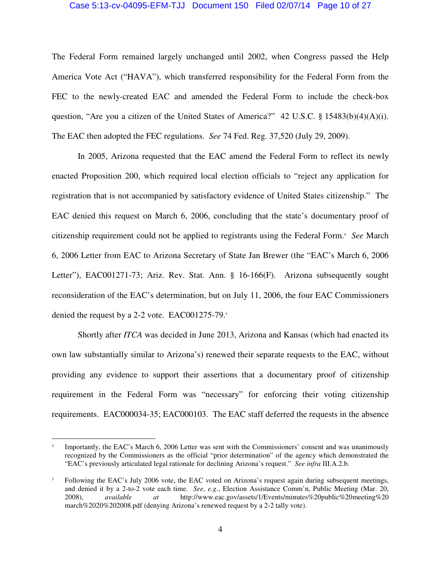#### Case 5:13-cv-04095-EFM-TJJ Document 150 Filed 02/07/14 Page 10 of 27

The Federal Form remained largely unchanged until 2002, when Congress passed the Help America Vote Act ("HAVA"), which transferred responsibility for the Federal Form from the FEC to the newly-created EAC and amended the Federal Form to include the check-box question, "Are you a citizen of the United States of America?"  $42 \text{ U.S.C.}$  § 15483(b)(4)(A)(i). The EAC then adopted the FEC regulations. *See* 74 Fed. Reg. 37,520 (July 29, 2009).

In 2005, Arizona requested that the EAC amend the Federal Form to reflect its newly enacted Proposition 200, which required local election officials to "reject any application for registration that is not accompanied by satisfactory evidence of United States citizenship." The EAC denied this request on March 6, 2006, concluding that the state's documentary proof of citizenship requirement could not be applied to registrants using the Federal Form.<sup>4</sup> See March 6, 2006 Letter from EAC to Arizona Secretary of State Jan Brewer (the "EAC's March 6, 2006 Letter"), EAC001271-73; Ariz. Rev. Stat. Ann. § 16-166(F). Arizona subsequently sought reconsideration of the EAC's determination, but on July 11, 2006, the four EAC Commissioners denied the request by a 2-2 vote. EAC001275-79.<sup>5</sup>

Shortly after *ITCA* was decided in June 2013, Arizona and Kansas (which had enacted its own law substantially similar to Arizona's) renewed their separate requests to the EAC, without providing any evidence to support their assertions that a documentary proof of citizenship requirement in the Federal Form was "necessary" for enforcing their voting citizenship requirements. EAC000034-35; EAC000103. The EAC staff deferred the requests in the absence

 $\overline{a}$ 

<sup>4</sup> Importantly, the EAC's March 6, 2006 Letter was sent with the Commissioners' consent and was unanimously recognized by the Commissioners as the official "prior determination" of the agency which demonstrated the "EAC's previously articulated legal rationale for declining Arizona's request." *See infra* III.A.2.b.

<sup>5</sup> Following the EAC's July 2006 vote, the EAC voted on Arizona's request again during subsequent meetings, and denied it by a 2-to-2 vote each time. *See*, *e.g.*, Election Assistance Comm'n, Public Meeting (Mar. 20, 2008), *available at* http://www.eac.gov/assets/1/Events/minutes%20public%20meeting%20 2008), *available at* http://www.eac.gov/assets/1/Events/minutes%20public%20meeting%20 march%2020%202008.pdf (denying Arizona's renewed request by a 2-2 tally vote).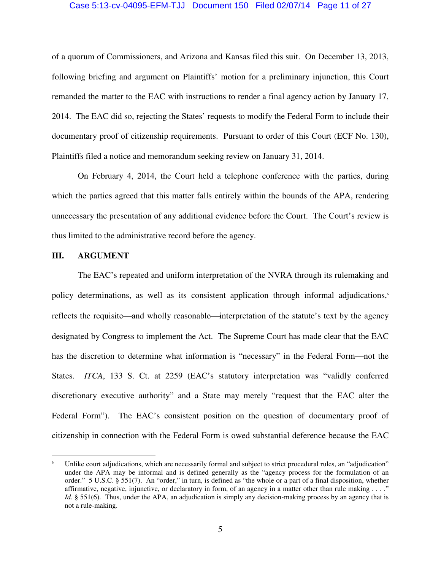#### Case 5:13-cv-04095-EFM-TJJ Document 150 Filed 02/07/14 Page 11 of 27

of a quorum of Commissioners, and Arizona and Kansas filed this suit. On December 13, 2013, following briefing and argument on Plaintiffs' motion for a preliminary injunction, this Court remanded the matter to the EAC with instructions to render a final agency action by January 17, 2014. The EAC did so, rejecting the States' requests to modify the Federal Form to include their documentary proof of citizenship requirements. Pursuant to order of this Court (ECF No. 130), Plaintiffs filed a notice and memorandum seeking review on January 31, 2014.

On February 4, 2014, the Court held a telephone conference with the parties, during which the parties agreed that this matter falls entirely within the bounds of the APA, rendering unnecessary the presentation of any additional evidence before the Court. The Court's review is thus limited to the administrative record before the agency.

#### **III. ARGUMENT**

 $\overline{a}$ 

The EAC's repeated and uniform interpretation of the NVRA through its rulemaking and policy determinations, as well as its consistent application through informal adjudications,<sup>6</sup> reflects the requisite—and wholly reasonable—interpretation of the statute's text by the agency designated by Congress to implement the Act. The Supreme Court has made clear that the EAC has the discretion to determine what information is "necessary" in the Federal Form—not the States. *ITCA*, 133 S. Ct. at 2259 (EAC's statutory interpretation was "validly conferred discretionary executive authority" and a State may merely "request that the EAC alter the Federal Form"). The EAC's consistent position on the question of documentary proof of citizenship in connection with the Federal Form is owed substantial deference because the EAC

<sup>6</sup> Unlike court adjudications, which are necessarily formal and subject to strict procedural rules, an "adjudication" under the APA may be informal and is defined generally as the "agency process for the formulation of an order." 5 U.S.C. § 551(7). An "order," in turn, is defined as "the whole or a part of a final disposition, whether affirmative, negative, injunctive, or declaratory in form, of an agency in a matter other than rule making . . . ." *Id*. § 551(6). Thus, under the APA, an adjudication is simply any decision-making process by an agency that is not a rule-making.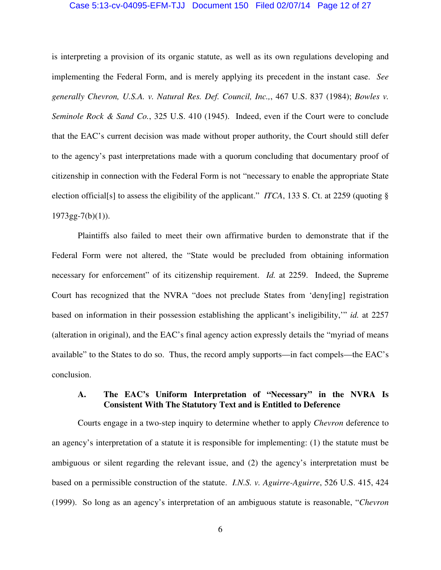#### Case 5:13-cv-04095-EFM-TJJ Document 150 Filed 02/07/14 Page 12 of 27

is interpreting a provision of its organic statute, as well as its own regulations developing and implementing the Federal Form, and is merely applying its precedent in the instant case. *See generally Chevron, U.S.A. v. Natural Res. Def. Council, Inc.,*, 467 U.S. 837 (1984); *Bowles v. Seminole Rock & Sand Co.*, 325 U.S. 410 (1945). Indeed, even if the Court were to conclude that the EAC's current decision was made without proper authority, the Court should still defer to the agency's past interpretations made with a quorum concluding that documentary proof of citizenship in connection with the Federal Form is not "necessary to enable the appropriate State election official[s] to assess the eligibility of the applicant." *ITCA*, 133 S. Ct. at 2259 (quoting §  $1973gg-7(b)(1)$ ).

Plaintiffs also failed to meet their own affirmative burden to demonstrate that if the Federal Form were not altered, the "State would be precluded from obtaining information necessary for enforcement" of its citizenship requirement. *Id.* at 2259. Indeed, the Supreme Court has recognized that the NVRA "does not preclude States from 'deny[ing] registration based on information in their possession establishing the applicant's ineligibility,'" *id.* at 2257 (alteration in original), and the EAC's final agency action expressly details the "myriad of means available" to the States to do so. Thus, the record amply supports—in fact compels—the EAC's conclusion.

## **A. The EAC's Uniform Interpretation of "Necessary" in the NVRA Is Consistent With The Statutory Text and is Entitled to Deference**

Courts engage in a two-step inquiry to determine whether to apply *Chevron* deference to an agency's interpretation of a statute it is responsible for implementing: (1) the statute must be ambiguous or silent regarding the relevant issue, and (2) the agency's interpretation must be based on a permissible construction of the statute. *I.N.S. v. Aguirre-Aguirre*, 526 U.S. 415, 424 (1999). So long as an agency's interpretation of an ambiguous statute is reasonable, "*Chevron*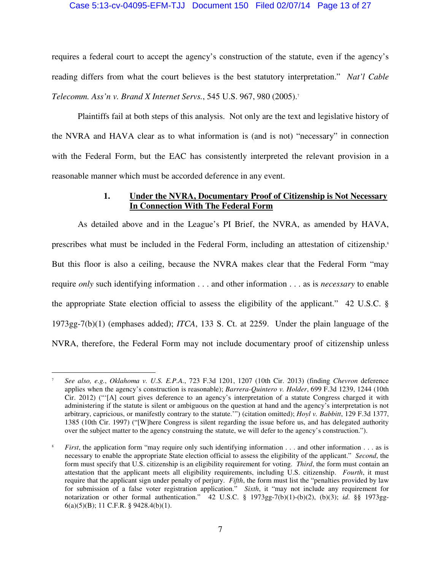#### Case 5:13-cv-04095-EFM-TJJ Document 150 Filed 02/07/14 Page 13 of 27

requires a federal court to accept the agency's construction of the statute, even if the agency's reading differs from what the court believes is the best statutory interpretation." *Nat'l Cable Telecomm. Ass'n v. Brand X Internet Servs.*, 545 U.S. 967, 980 (2005).<sup>7</sup>

Plaintiffs fail at both steps of this analysis. Not only are the text and legislative history of the NVRA and HAVA clear as to what information is (and is not) "necessary" in connection with the Federal Form, but the EAC has consistently interpreted the relevant provision in a reasonable manner which must be accorded deference in any event.

## **1. Under the NVRA, Documentary Proof of Citizenship is Not Necessary In Connection With The Federal Form**

As detailed above and in the League's PI Brief, the NVRA, as amended by HAVA, prescribes what must be included in the Federal Form, including an attestation of citizenship.<sup>8</sup> But this floor is also a ceiling, because the NVRA makes clear that the Federal Form "may require *only* such identifying information . . . and other information . . . as is *necessary* to enable the appropriate State election official to assess the eligibility of the applicant." 42 U.S.C. § 1973gg-7(b)(1) (emphases added); *ITCA*, 133 S. Ct. at 2259. Under the plain language of the NVRA, therefore, the Federal Form may not include documentary proof of citizenship unless

 $\overline{a}$ <sup>7</sup> *See also, e.g.*, *Oklahoma v. U.S. E.P.A.*, 723 F.3d 1201, 1207 (10th Cir. 2013) (finding *Chevron* deference applies when the agency's construction is reasonable); *Barrera-Quintero v. Holder*, 699 F.3d 1239, 1244 (10th Cir. 2012) ("'[A] court gives deference to an agency's interpretation of a statute Congress charged it with administering if the statute is silent or ambiguous on the question at hand and the agency's interpretation is not arbitrary, capricious, or manifestly contrary to the statute.'") (citation omitted); *Hoyl v. Babbitt*, 129 F.3d 1377, 1385 (10th Cir. 1997) ("[W]here Congress is silent regarding the issue before us, and has delegated authority over the subject matter to the agency construing the statute, we will defer to the agency's construction.").

<sup>8</sup> *First*, the application form "may require only such identifying information . . . and other information . . . as is necessary to enable the appropriate State election official to assess the eligibility of the applicant." *Second*, the form must specify that U.S. citizenship is an eligibility requirement for voting. *Third*, the form must contain an attestation that the applicant meets all eligibility requirements, including U.S. citizenship. *Fourth*, it must require that the applicant sign under penalty of perjury. *Fifth*, the form must list the "penalties provided by law for submission of a false voter registration application." *Sixth*, it "may not include any requirement for notarization or other formal authentication." 42 U.S.C. § 1973gg-7(b)(1)-(b)(2), (b)(3); *id*. §§ 1973gg-6(a)(5)(B); 11 C.F.R. § 9428.4(b)(1).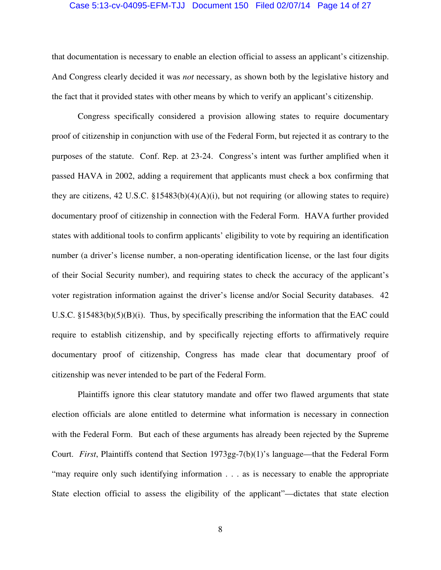#### Case 5:13-cv-04095-EFM-TJJ Document 150 Filed 02/07/14 Page 14 of 27

that documentation is necessary to enable an election official to assess an applicant's citizenship. And Congress clearly decided it was *not* necessary, as shown both by the legislative history and the fact that it provided states with other means by which to verify an applicant's citizenship.

Congress specifically considered a provision allowing states to require documentary proof of citizenship in conjunction with use of the Federal Form, but rejected it as contrary to the purposes of the statute. Conf. Rep. at 23-24. Congress's intent was further amplified when it passed HAVA in 2002, adding a requirement that applicants must check a box confirming that they are citizens, 42 U.S.C.  $$15483(b)(4)(A)(i)$ , but not requiring (or allowing states to require) documentary proof of citizenship in connection with the Federal Form. HAVA further provided states with additional tools to confirm applicants' eligibility to vote by requiring an identification number (a driver's license number, a non-operating identification license, or the last four digits of their Social Security number), and requiring states to check the accuracy of the applicant's voter registration information against the driver's license and/or Social Security databases. 42 U.S.C.  $\S 15483(b)(5)(B)(i)$ . Thus, by specifically prescribing the information that the EAC could require to establish citizenship, and by specifically rejecting efforts to affirmatively require documentary proof of citizenship, Congress has made clear that documentary proof of citizenship was never intended to be part of the Federal Form.

Plaintiffs ignore this clear statutory mandate and offer two flawed arguments that state election officials are alone entitled to determine what information is necessary in connection with the Federal Form. But each of these arguments has already been rejected by the Supreme Court. *First*, Plaintiffs contend that Section 1973gg-7(b)(1)'s language—that the Federal Form "may require only such identifying information . . . as is necessary to enable the appropriate State election official to assess the eligibility of the applicant"—dictates that state election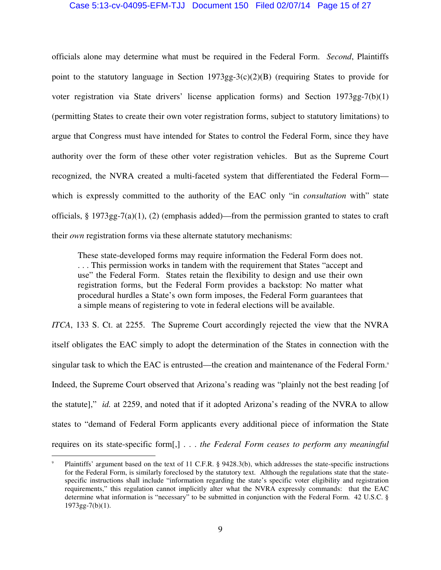#### Case 5:13-cv-04095-EFM-TJJ Document 150 Filed 02/07/14 Page 15 of 27

officials alone may determine what must be required in the Federal Form. *Second*, Plaintiffs point to the statutory language in Section 1973gg-3(c)(2)(B) (requiring States to provide for voter registration via State drivers' license application forms) and Section 1973gg-7(b)(1) (permitting States to create their own voter registration forms, subject to statutory limitations) to argue that Congress must have intended for States to control the Federal Form, since they have authority over the form of these other voter registration vehicles. But as the Supreme Court recognized, the NVRA created a multi-faceted system that differentiated the Federal Form which is expressly committed to the authority of the EAC only "in *consultation* with" state officials, § 1973gg-7(a)(1), (2) (emphasis added)—from the permission granted to states to craft their *own* registration forms via these alternate statutory mechanisms:

These state-developed forms may require information the Federal Form does not. . . . This permission works in tandem with the requirement that States "accept and use" the Federal Form. States retain the flexibility to design and use their own registration forms, but the Federal Form provides a backstop: No matter what procedural hurdles a State's own form imposes, the Federal Form guarantees that a simple means of registering to vote in federal elections will be available.

*ITCA*, 133 S. Ct. at 2255. The Supreme Court accordingly rejected the view that the NVRA itself obligates the EAC simply to adopt the determination of the States in connection with the singular task to which the EAC is entrusted—the creation and maintenance of the Federal Form.<sup>9</sup> Indeed, the Supreme Court observed that Arizona's reading was "plainly not the best reading [of the statute]," *id.* at 2259, and noted that if it adopted Arizona's reading of the NVRA to allow states to "demand of Federal Form applicants every additional piece of information the State requires on its state-specific form[,] . . . *the Federal Form ceases to perform any meaningful* 

 $\overline{a}$ 

<sup>9</sup> Plaintiffs' argument based on the text of 11 C.F.R. § 9428.3(b), which addresses the state-specific instructions for the Federal Form, is similarly foreclosed by the statutory text. Although the regulations state that the statespecific instructions shall include "information regarding the state's specific voter eligibility and registration requirements," this regulation cannot implicitly alter what the NVRA expressly commands: that the EAC determine what information is "necessary" to be submitted in conjunction with the Federal Form. 42 U.S.C. §  $1973gg-7(b)(1)$ .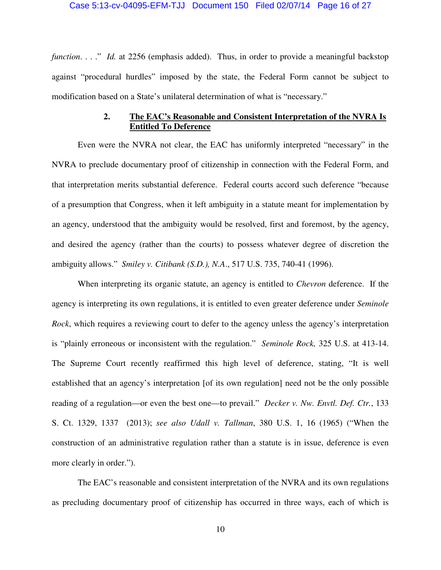#### Case 5:13-cv-04095-EFM-TJJ Document 150 Filed 02/07/14 Page 16 of 27

*function....*" *Id.* at 2256 (emphasis added). Thus, in order to provide a meaningful backstop against "procedural hurdles" imposed by the state, the Federal Form cannot be subject to modification based on a State's unilateral determination of what is "necessary."

## **2. The EAC's Reasonable and Consistent Interpretation of the NVRA Is Entitled To Deference**

Even were the NVRA not clear, the EAC has uniformly interpreted "necessary" in the NVRA to preclude documentary proof of citizenship in connection with the Federal Form, and that interpretation merits substantial deference. Federal courts accord such deference "because of a presumption that Congress, when it left ambiguity in a statute meant for implementation by an agency, understood that the ambiguity would be resolved, first and foremost, by the agency, and desired the agency (rather than the courts) to possess whatever degree of discretion the ambiguity allows." *Smiley v. Citibank (S.D.), N.A*., 517 U.S. 735, 740-41 (1996).

When interpreting its organic statute, an agency is entitled to *Chevron* deference. If the agency is interpreting its own regulations, it is entitled to even greater deference under *Seminole Rock*, which requires a reviewing court to defer to the agency unless the agency's interpretation is "plainly erroneous or inconsistent with the regulation." *Seminole Rock,* 325 U.S. at 413-14. The Supreme Court recently reaffirmed this high level of deference, stating, "It is well established that an agency's interpretation [of its own regulation] need not be the only possible reading of a regulation—or even the best one—to prevail." *Decker v. Nw. Envtl. Def. Ctr.*, 133 S. Ct. 1329, 1337 (2013); *see also Udall v. Tallman*, 380 U.S. 1, 16 (1965) ("When the construction of an administrative regulation rather than a statute is in issue, deference is even more clearly in order.").

The EAC's reasonable and consistent interpretation of the NVRA and its own regulations as precluding documentary proof of citizenship has occurred in three ways, each of which is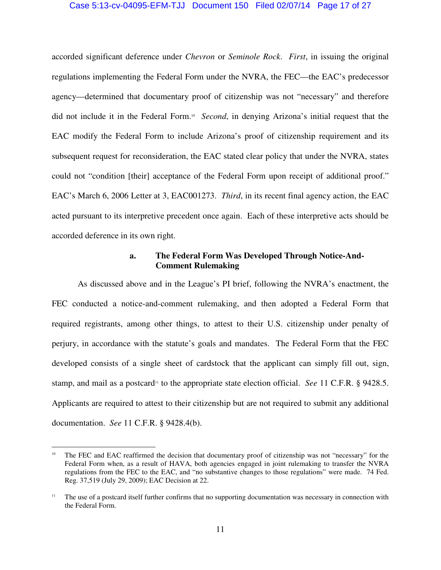#### Case 5:13-cv-04095-EFM-TJJ Document 150 Filed 02/07/14 Page 17 of 27

accorded significant deference under *Chevron* or *Seminole Rock*. *First*, in issuing the original regulations implementing the Federal Form under the NVRA, the FEC—the EAC's predecessor agency—determined that documentary proof of citizenship was not "necessary" and therefore did not include it in the Federal Form.<sup>10</sup> Second, in denying Arizona's initial request that the EAC modify the Federal Form to include Arizona's proof of citizenship requirement and its subsequent request for reconsideration, the EAC stated clear policy that under the NVRA, states could not "condition [their] acceptance of the Federal Form upon receipt of additional proof." EAC's March 6, 2006 Letter at 3, EAC001273. *Third*, in its recent final agency action, the EAC acted pursuant to its interpretive precedent once again. Each of these interpretive acts should be accorded deference in its own right.

### **a. The Federal Form Was Developed Through Notice-And-Comment Rulemaking**

As discussed above and in the League's PI brief, following the NVRA's enactment, the FEC conducted a notice-and-comment rulemaking, and then adopted a Federal Form that required registrants, among other things, to attest to their U.S. citizenship under penalty of perjury, in accordance with the statute's goals and mandates. The Federal Form that the FEC developed consists of a single sheet of cardstock that the applicant can simply fill out, sign, stamp, and mail as a postcard<sup>11</sup> to the appropriate state election official. *See* 11 C.F.R. § 9428.5. Applicants are required to attest to their citizenship but are not required to submit any additional documentation. *See* 11 C.F.R. § 9428.4(b).

 $\overline{a}$ The FEC and EAC reaffirmed the decision that documentary proof of citizenship was not "necessary" for the Federal Form when, as a result of HAVA, both agencies engaged in joint rulemaking to transfer the NVRA regulations from the FEC to the EAC, and "no substantive changes to those regulations" were made. 74 Fed. Reg. 37,519 (July 29, 2009); EAC Decision at 22.

<sup>&</sup>lt;sup>11</sup> The use of a postcard itself further confirms that no supporting documentation was necessary in connection with the Federal Form.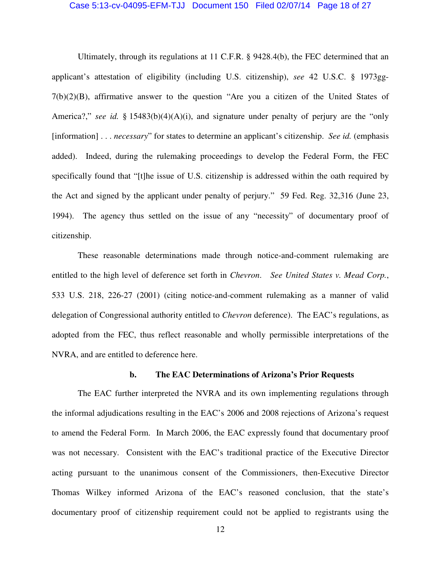#### Case 5:13-cv-04095-EFM-TJJ Document 150 Filed 02/07/14 Page 18 of 27

Ultimately, through its regulations at 11 C.F.R. § 9428.4(b), the FEC determined that an applicant's attestation of eligibility (including U.S. citizenship), *see* 42 U.S.C. § 1973gg-7(b)(2)(B), affirmative answer to the question "Are you a citizen of the United States of America?," *see id.* § 15483(b)(4)(A)(i), and signature under penalty of perjury are the "only [information] . . . *necessary*" for states to determine an applicant's citizenship. *See id.* (emphasis added). Indeed, during the rulemaking proceedings to develop the Federal Form, the FEC specifically found that "[t]he issue of U.S. citizenship is addressed within the oath required by the Act and signed by the applicant under penalty of perjury." 59 Fed. Reg. 32,316 (June 23, 1994). The agency thus settled on the issue of any "necessity" of documentary proof of citizenship.

These reasonable determinations made through notice-and-comment rulemaking are entitled to the high level of deference set forth in *Chevron*. *See United States v. Mead Corp.*, 533 U.S. 218, 226-27 (2001) (citing notice-and-comment rulemaking as a manner of valid delegation of Congressional authority entitled to *Chevron* deference). The EAC's regulations, as adopted from the FEC, thus reflect reasonable and wholly permissible interpretations of the NVRA, and are entitled to deference here.

#### **b. The EAC Determinations of Arizona's Prior Requests**

The EAC further interpreted the NVRA and its own implementing regulations through the informal adjudications resulting in the EAC's 2006 and 2008 rejections of Arizona's request to amend the Federal Form. In March 2006, the EAC expressly found that documentary proof was not necessary. Consistent with the EAC's traditional practice of the Executive Director acting pursuant to the unanimous consent of the Commissioners, then-Executive Director Thomas Wilkey informed Arizona of the EAC's reasoned conclusion, that the state's documentary proof of citizenship requirement could not be applied to registrants using the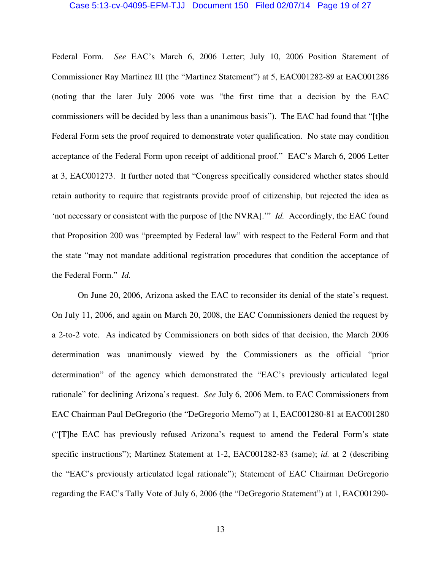#### Case 5:13-cv-04095-EFM-TJJ Document 150 Filed 02/07/14 Page 19 of 27

Federal Form. *See* EAC's March 6, 2006 Letter; July 10, 2006 Position Statement of Commissioner Ray Martinez III (the "Martinez Statement") at 5, EAC001282-89 at EAC001286 (noting that the later July 2006 vote was "the first time that a decision by the EAC commissioners will be decided by less than a unanimous basis"). The EAC had found that "[t]he Federal Form sets the proof required to demonstrate voter qualification. No state may condition acceptance of the Federal Form upon receipt of additional proof." EAC's March 6, 2006 Letter at 3, EAC001273. It further noted that "Congress specifically considered whether states should retain authority to require that registrants provide proof of citizenship, but rejected the idea as 'not necessary or consistent with the purpose of [the NVRA].'" *Id.* Accordingly, the EAC found that Proposition 200 was "preempted by Federal law" with respect to the Federal Form and that the state "may not mandate additional registration procedures that condition the acceptance of the Federal Form." *Id.*

On June 20, 2006, Arizona asked the EAC to reconsider its denial of the state's request. On July 11, 2006, and again on March 20, 2008, the EAC Commissioners denied the request by a 2-to-2 vote. As indicated by Commissioners on both sides of that decision, the March 2006 determination was unanimously viewed by the Commissioners as the official "prior determination" of the agency which demonstrated the "EAC's previously articulated legal rationale" for declining Arizona's request. *See* July 6, 2006 Mem. to EAC Commissioners from EAC Chairman Paul DeGregorio (the "DeGregorio Memo") at 1, EAC001280-81 at EAC001280 ("[T]he EAC has previously refused Arizona's request to amend the Federal Form's state specific instructions"); Martinez Statement at 1-2, EAC001282-83 (same); *id.* at 2 (describing the "EAC's previously articulated legal rationale"); Statement of EAC Chairman DeGregorio regarding the EAC's Tally Vote of July 6, 2006 (the "DeGregorio Statement") at 1, EAC001290-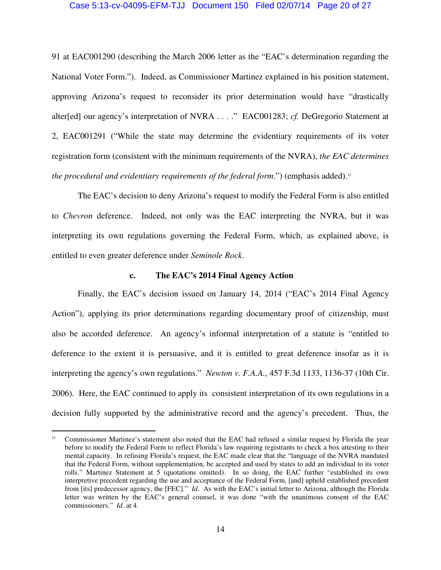#### Case 5:13-cv-04095-EFM-TJJ Document 150 Filed 02/07/14 Page 20 of 27

91 at EAC001290 (describing the March 2006 letter as the "EAC's determination regarding the National Voter Form."). Indeed, as Commissioner Martinez explained in his position statement, approving Arizona's request to reconsider its prior determination would have "drastically alter[ed] our agency's interpretation of NVRA . . . ." EAC001283; *cf.* DeGregorio Statement at 2, EAC001291 ("While the state may determine the evidentiary requirements of its voter registration form (consistent with the minimum requirements of the NVRA), *the EAC determines the procedural and evidentiary requirements of the federal form.*") (emphasis added).<sup>12</sup>

The EAC's decision to deny Arizona's request to modify the Federal Form is also entitled to *Chevron* deference. Indeed, not only was the EAC interpreting the NVRA, but it was interpreting its own regulations governing the Federal Form, which, as explained above, is entitled to even greater deference under *Seminole Rock*.

#### **c. The EAC's 2014 Final Agency Action**

Finally, the EAC's decision issued on January 14, 2014 ("EAC's 2014 Final Agency Action"), applying its prior determinations regarding documentary proof of citizenship, must also be accorded deference. An agency's informal interpretation of a statute is "entitled to deference to the extent it is persuasive, and it is entitled to great deference insofar as it is interpreting the agency's own regulations." *Newton v. F.A.A.*, 457 F.3d 1133, 1136-37 (10th Cir. 2006). Here, the EAC continued to apply its consistent interpretation of its own regulations in a decision fully supported by the administrative record and the agency's precedent. Thus, the

 $\overline{a}$ 

<sup>&</sup>lt;sup>12</sup> Commissioner Martinez's statement also noted that the EAC had refused a similar request by Florida the year before to modify the Federal Form to reflect Florida's law requiring registrants to check a box attesting to their mental capacity. In refusing Florida's request, the EAC made clear that the "language of the NVRA mandated that the Federal Form, without supplementation, be accepted and used by states to add an individual to its voter rolls." Martinez Statement at 5 (quotations omitted). In so doing, the EAC further "established its own interpretive precedent regarding the use and acceptance of the Federal Form, [and] upheld established precedent from [its] predecessor agency, the [FEC]." *Id*. As with the EAC's initial letter to Arizona, although the Florida letter was written by the EAC's general counsel, it was done "with the unanimous consent of the EAC commissioners." *Id*. at 4.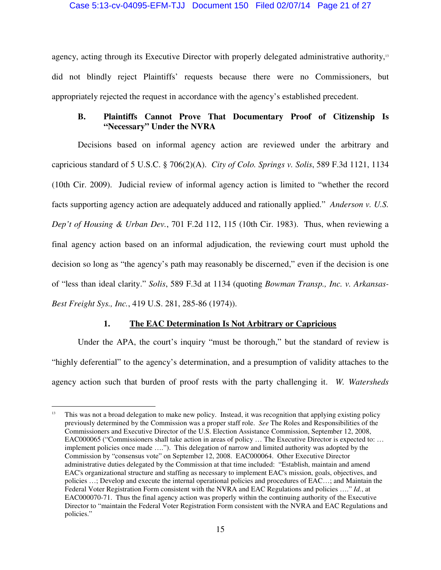#### Case 5:13-cv-04095-EFM-TJJ Document 150 Filed 02/07/14 Page 21 of 27

agency, acting through its Executive Director with properly delegated administrative authority,<sup>13</sup> did not blindly reject Plaintiffs' requests because there were no Commissioners, but appropriately rejected the request in accordance with the agency's established precedent.

## **B. Plaintiffs Cannot Prove That Documentary Proof of Citizenship Is "Necessary" Under the NVRA**

Decisions based on informal agency action are reviewed under the arbitrary and capricious standard of 5 U.S.C. § 706(2)(A). *City of Colo. Springs v. Solis*, 589 F.3d 1121, 1134 (10th Cir. 2009). Judicial review of informal agency action is limited to "whether the record facts supporting agency action are adequately adduced and rationally applied." *Anderson v. U.S. Dep't of Housing & Urban Dev.*, 701 F.2d 112, 115 (10th Cir. 1983). Thus, when reviewing a final agency action based on an informal adjudication, the reviewing court must uphold the decision so long as "the agency's path may reasonably be discerned," even if the decision is one of "less than ideal clarity." *Solis*, 589 F.3d at 1134 (quoting *Bowman Transp., Inc. v. Arkansas-Best Freight Sys., Inc.*, 419 U.S. 281, 285-86 (1974)).

## **1. The EAC Determination Is Not Arbitrary or Capricious**

Under the APA, the court's inquiry "must be thorough," but the standard of review is "highly deferential" to the agency's determination, and a presumption of validity attaches to the agency action such that burden of proof rests with the party challenging it. *W. Watersheds* 

 $\overline{a}$ 

<sup>&</sup>lt;sup>13</sup> This was not a broad delegation to make new policy. Instead, it was recognition that applying existing policy previously determined by the Commission was a proper staff role. *See* The Roles and Responsibilities of the Commissioners and Executive Director of the U.S. Election Assistance Commission, September 12, 2008, EAC000065 ("Commissioners shall take action in areas of policy … The Executive Director is expected to: … implement policies once made …."). This delegation of narrow and limited authority was adopted by the Commission by "consensus vote" on September 12, 2008. EAC000064. Other Executive Director administrative duties delegated by the Commission at that time included: "Establish, maintain and amend EAC's organizational structure and staffing as necessary to implement EAC's mission, goals, objectives, and policies …; Develop and execute the internal operational policies and procedures of EAC…; and Maintain the Federal Voter Registration Form consistent with the NVRA and EAC Regulations and policies …." *Id.*, at EAC000070-71. Thus the final agency action was properly within the continuing authority of the Executive Director to "maintain the Federal Voter Registration Form consistent with the NVRA and EAC Regulations and policies."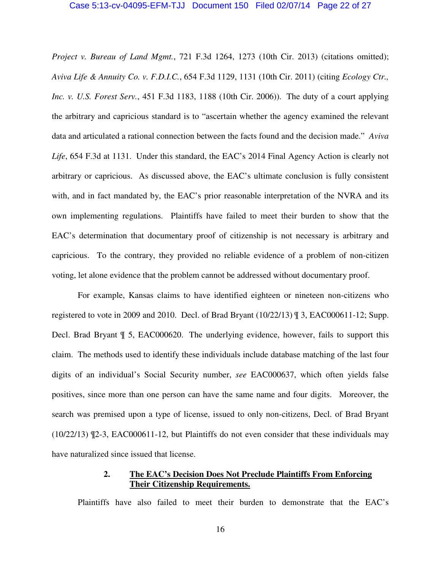#### Case 5:13-cv-04095-EFM-TJJ Document 150 Filed 02/07/14 Page 22 of 27

*Project v. Bureau of Land Mgmt.*, 721 F.3d 1264, 1273 (10th Cir. 2013) (citations omitted); *Aviva Life & Annuity Co. v. F.D.I.C.*, 654 F.3d 1129, 1131 (10th Cir. 2011) (citing *Ecology Ctr., Inc. v. U.S. Forest Serv.*, 451 F.3d 1183, 1188 (10th Cir. 2006)). The duty of a court applying the arbitrary and capricious standard is to "ascertain whether the agency examined the relevant data and articulated a rational connection between the facts found and the decision made." *Aviva Life*, 654 F.3d at 1131. Under this standard, the EAC's 2014 Final Agency Action is clearly not arbitrary or capricious. As discussed above, the EAC's ultimate conclusion is fully consistent with, and in fact mandated by, the EAC's prior reasonable interpretation of the NVRA and its own implementing regulations. Plaintiffs have failed to meet their burden to show that the EAC's determination that documentary proof of citizenship is not necessary is arbitrary and capricious. To the contrary, they provided no reliable evidence of a problem of non-citizen voting, let alone evidence that the problem cannot be addressed without documentary proof.

For example, Kansas claims to have identified eighteen or nineteen non-citizens who registered to vote in 2009 and 2010. Decl. of Brad Bryant  $(10/22/13)$   $\parallel$  3, EAC000611-12; Supp. Decl. Brad Bryant ¶ 5, EAC000620. The underlying evidence, however, fails to support this claim. The methods used to identify these individuals include database matching of the last four digits of an individual's Social Security number, *see* EAC000637, which often yields false positives, since more than one person can have the same name and four digits. Moreover, the search was premised upon a type of license, issued to only non-citizens, Decl. of Brad Bryant (10/22/13) ¶2-3, EAC000611-12, but Plaintiffs do not even consider that these individuals may have naturalized since issued that license.

### **2. The EAC's Decision Does Not Preclude Plaintiffs From Enforcing Their Citizenship Requirements.**

Plaintiffs have also failed to meet their burden to demonstrate that the EAC's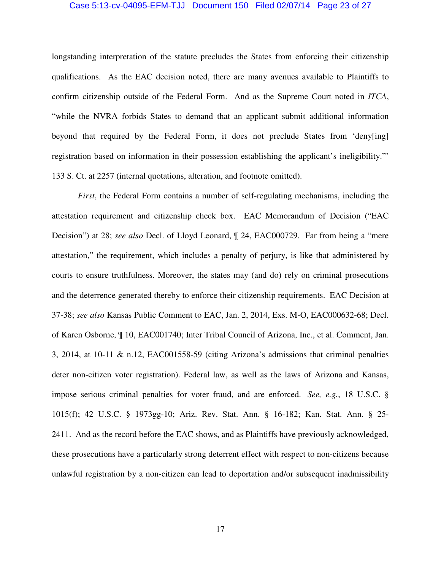#### Case 5:13-cv-04095-EFM-TJJ Document 150 Filed 02/07/14 Page 23 of 27

longstanding interpretation of the statute precludes the States from enforcing their citizenship qualifications. As the EAC decision noted, there are many avenues available to Plaintiffs to confirm citizenship outside of the Federal Form. And as the Supreme Court noted in *ITCA*, "while the NVRA forbids States to demand that an applicant submit additional information beyond that required by the Federal Form, it does not preclude States from 'deny[ing] registration based on information in their possession establishing the applicant's ineligibility."' 133 S. Ct. at 2257 (internal quotations, alteration, and footnote omitted).

*First*, the Federal Form contains a number of self-regulating mechanisms, including the attestation requirement and citizenship check box. EAC Memorandum of Decision ("EAC Decision") at 28; *see also* Decl. of Lloyd Leonard, ¶ 24, EAC000729. Far from being a "mere attestation," the requirement, which includes a penalty of perjury, is like that administered by courts to ensure truthfulness. Moreover, the states may (and do) rely on criminal prosecutions and the deterrence generated thereby to enforce their citizenship requirements. EAC Decision at 37-38; *see also* Kansas Public Comment to EAC, Jan. 2, 2014, Exs. M-O, EAC000632-68; Decl. of Karen Osborne, ¶ 10, EAC001740; Inter Tribal Council of Arizona, Inc., et al. Comment, Jan. 3, 2014, at 10-11 & n.12, EAC001558-59 (citing Arizona's admissions that criminal penalties deter non-citizen voter registration). Federal law, as well as the laws of Arizona and Kansas, impose serious criminal penalties for voter fraud, and are enforced. *See, e.g.*, 18 U.S.C. § 1015(f); 42 U.S.C. § 1973gg-10; Ariz. Rev. Stat. Ann. § 16-182; Kan. Stat. Ann. § 25- 2411. And as the record before the EAC shows, and as Plaintiffs have previously acknowledged, these prosecutions have a particularly strong deterrent effect with respect to non-citizens because unlawful registration by a non-citizen can lead to deportation and/or subsequent inadmissibility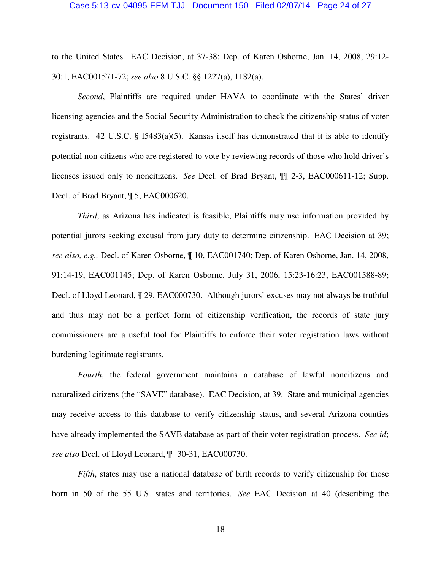#### Case 5:13-cv-04095-EFM-TJJ Document 150 Filed 02/07/14 Page 24 of 27

to the United States. EAC Decision, at 37-38; Dep. of Karen Osborne, Jan. 14, 2008, 29:12- 30:1, EAC001571-72; *see also* 8 U.S.C. §§ 1227(a), 1182(a).

*Second*, Plaintiffs are required under HAVA to coordinate with the States' driver licensing agencies and the Social Security Administration to check the citizenship status of voter registrants. 42 U.S.C. § 15483(a)(5). Kansas itself has demonstrated that it is able to identify potential non-citizens who are registered to vote by reviewing records of those who hold driver's licenses issued only to noncitizens. *See* Decl. of Brad Bryant, ¶¶ 2-3, EAC000611-12; Supp. Decl. of Brad Bryant, ¶ 5, EAC000620.

*Third*, as Arizona has indicated is feasible, Plaintiffs may use information provided by potential jurors seeking excusal from jury duty to determine citizenship. EAC Decision at 39; *see also, e.g.,* Decl. of Karen Osborne, ¶ 10, EAC001740; Dep. of Karen Osborne, Jan. 14, 2008, 91:14-19, EAC001145; Dep. of Karen Osborne, July 31, 2006, 15:23-16:23, EAC001588-89; Decl. of Lloyd Leonard, ¶ 29, EAC000730. Although jurors' excuses may not always be truthful and thus may not be a perfect form of citizenship verification, the records of state jury commissioners are a useful tool for Plaintiffs to enforce their voter registration laws without burdening legitimate registrants.

*Fourth*, the federal government maintains a database of lawful noncitizens and naturalized citizens (the "SAVE" database). EAC Decision, at 39. State and municipal agencies may receive access to this database to verify citizenship status, and several Arizona counties have already implemented the SAVE database as part of their voter registration process. *See id*; *see also* Decl. of Lloyd Leonard, ¶¶ 30-31, EAC000730.

*Fifth*, states may use a national database of birth records to verify citizenship for those born in 50 of the 55 U.S. states and territories. *See* EAC Decision at 40 (describing the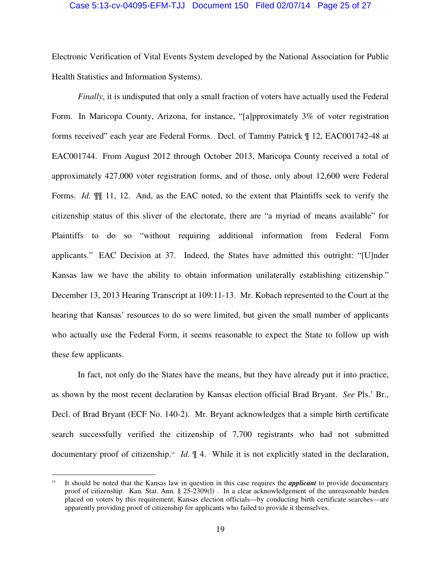#### Case 5:13-cv-04095-EFM-TJJ Document 150 Filed 02/07/14 Page 25 of 27

Electronic Verification of Vital Events System developed by the National Association for Public Health Statistics and Information Systems).

*Finally*, it is undisputed that only a small fraction of voters have actually used the Federal Form. In Maricopa County, Arizona, for instance, "[a]pproximately 3% of voter registration forms received" each year are Federal Forms. Decl. of Tammy Patrick ¶ 12, EAC001742-48 at EAC001744. From August 2012 through October 2013, Maricopa County received a total of approximately 427,000 voter registration forms, and of those, only about 12,600 were Federal Forms. *Id.*  $\mathbb{I}$  11, 12. And, as the EAC noted, to the extent that Plaintiffs seek to verify the citizenship status of this sliver of the electorate, there are "a myriad of means available" for Plaintiffs to do so "without requiring additional information from Federal Form applicants." EAC Decision at 37. Indeed, the States have admitted this outright: "[U]nder Kansas law we have the ability to obtain information unilaterally establishing citizenship." December 13, 2013 Hearing Transcript at 109:11-13. Mr. Kobach represented to the Court at the hearing that Kansas' resources to do so were limited, but given the small number of applicants who actually use the Federal Form, it seems reasonable to expect the State to follow up with these few applicants.

In fact, not only do the States have the means, but they have already put it into practice, as shown by the most recent declaration by Kansas election official Brad Bryant. *See* Pls.' Br., Decl. of Brad Bryant (ECF No. 140-2). Mr. Bryant acknowledges that a simple birth certificate search successfully verified the citizenship of 7,700 registrants who had not submitted documentary proof of citizenship.<sup>14</sup> *Id.* ¶ 4. While it is not explicitly stated in the declaration,

 $\overline{a}$ 

<sup>&</sup>lt;sup>14</sup> It should be noted that the Kansas law in question in this case requires the *applicant* to provide documentary proof of citizenship. Kan. Stat. Ann. § 25-2309(1). In a clear acknowledgement of the unreasonable burden placed on voters by this requirement, Kansas election officials—by conducting birth certificate searches—are apparently providing proof of citizenship for applicants who failed to provide it themselves.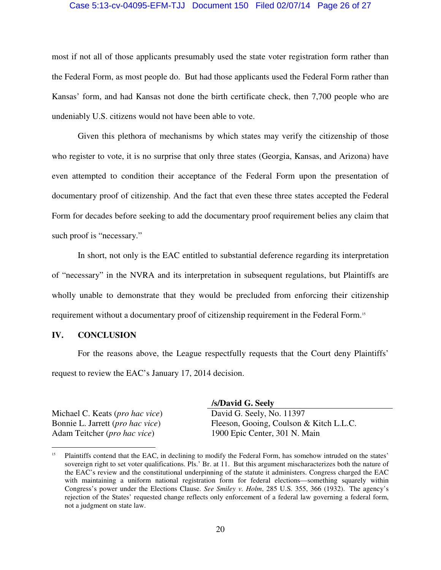#### Case 5:13-cv-04095-EFM-TJJ Document 150 Filed 02/07/14 Page 26 of 27

most if not all of those applicants presumably used the state voter registration form rather than the Federal Form, as most people do. But had those applicants used the Federal Form rather than Kansas' form, and had Kansas not done the birth certificate check, then 7,700 people who are undeniably U.S. citizens would not have been able to vote.

Given this plethora of mechanisms by which states may verify the citizenship of those who register to vote, it is no surprise that only three states (Georgia, Kansas, and Arizona) have even attempted to condition their acceptance of the Federal Form upon the presentation of documentary proof of citizenship. And the fact that even these three states accepted the Federal Form for decades before seeking to add the documentary proof requirement belies any claim that such proof is "necessary."

In short, not only is the EAC entitled to substantial deference regarding its interpretation of "necessary" in the NVRA and its interpretation in subsequent regulations, but Plaintiffs are wholly unable to demonstrate that they would be precluded from enforcing their citizenship requirement without a documentary proof of citizenship requirement in the Federal Form.<sup>15</sup>

#### **IV. CONCLUSION**

For the reasons above, the League respectfully requests that the Court deny Plaintiffs' request to review the EAC's January 17, 2014 decision.

Michael C. Keats (*pro hac vice*) Bonnie L. Jarrett (*pro hac vice*) Adam Teitcher (*pro hac vice*)

 $\overline{a}$ 

 **/s/David G. Seely**  David G. Seely, No. 11397 Fleeson, Gooing, Coulson & Kitch L.L.C. 1900 Epic Center, 301 N. Main

<sup>&</sup>lt;sup>15</sup> Plaintiffs contend that the EAC, in declining to modify the Federal Form, has somehow intruded on the states' sovereign right to set voter qualifications. Pls.' Br. at 11. But this argument mischaracterizes both the nature of the EAC's review and the constitutional underpinning of the statute it administers. Congress charged the EAC with maintaining a uniform national registration form for federal elections—something squarely within Congress's power under the Elections Clause. *See Smiley v. Holm*, 285 U.S. 355, 366 (1932). The agency's rejection of the States' requested change reflects only enforcement of a federal law governing a federal form, not a judgment on state law.